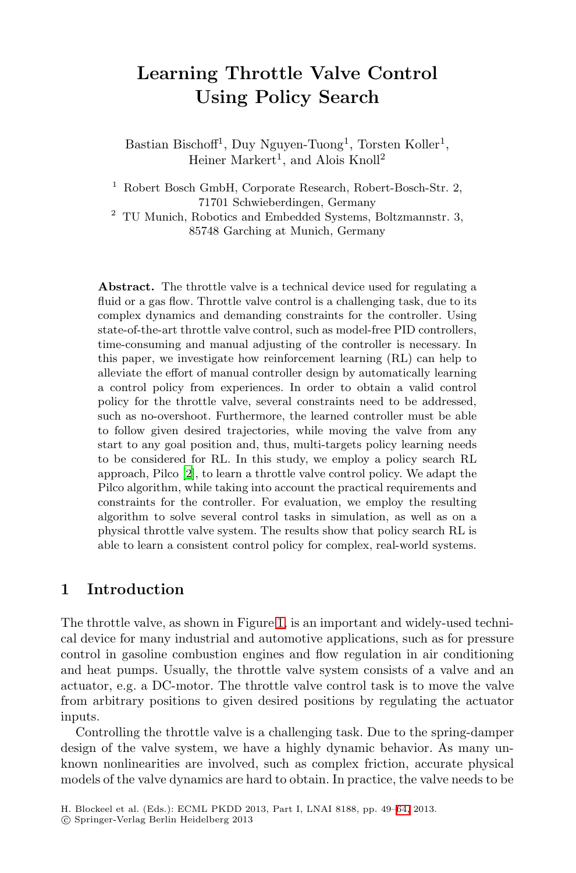# **Learning Throttle Valve Control Using Policy Search**

Bastian Bischoff<sup>1</sup>, Duy Nguyen-Tuong<sup>1</sup>, Torsten Koller<sup>1</sup>, Heiner Markert<sup>1</sup>, and Alois Knoll<sup>2</sup>

<sup>1</sup> Robert Bosch GmbH, Corporate Research, Robert-Bosch-Str. 2, 71701 Schwieberdingen, Germany

<sup>2</sup> TU Munich, Robotics and Embedded Systems, Boltzmannstr. 3, 85748 Garching at Munich, Germany

Abstract. The throttle valve is a technical device used for regulating a fluid or a gas flow. Throttle valve control is a challenging task, due to its complex dynamics and demanding constraints for the controller. Using state-of-the-art throttle valve control, such as model-free PID controllers, time-consuming and manual adjusting of the controller is necessary. In this paper, we investigate how reinforcement learning (RL) can help to alleviate the effort of manual controller design by automatically learning a control policy from experiences. In order to obtain a valid control policy for the throttle valve, several constraints need to be addressed, such as no-overshoot. Furthermore, the learned controller must be able to follow given desired trajectories, while moving the valve from any start to any goal position and, thus, multi-targets policy learning needs to be considered for RL. In this study, we employ a policy search RL approach, Pilco [2], to learn a throttle valve control policy. We adapt the Pilco algorithm, while taking into account the practical requirements and constraints fo[r t](#page-1-0)he controller. For evaluation, we employ the resulting algorithm to solve several control tasks in simulation, as well as on a physical throttle valve system. The results show that policy search RL is able to learn a consistent control policy for complex, real-world systems.

# **1 Introduction**

The throttle valve, as shown in Figure 1, is an important and widely-used technical device for many industrial and automotive applications, such as for pressure control in gasoline combustion engines and flow regulation in air conditioning and heat pumps. Usually, the throttle valve system consists of a valve and an actuator, e.g. a DC-motor. The throttle [val](#page-15-0)ve control task is to move the valve from arbitrary positions to given desired positions by regulating the actuator inputs.

Controlling the throttle valve is a challenging task. Due to the spring-damper design of the valve system, we have a highly dynamic behavior. As many unknown nonlinearities are involved, such as complex friction, accurate physical models of the valve dynamics are hard to obtain. In practice, the valve needs to be

H. Blockeel et al. (Eds.): ECML PKDD 2013, Part I, LNAI 8188, pp. 49–64, 2013.

<sup>-</sup>c Springer-Verlag Berlin Heidelberg 2013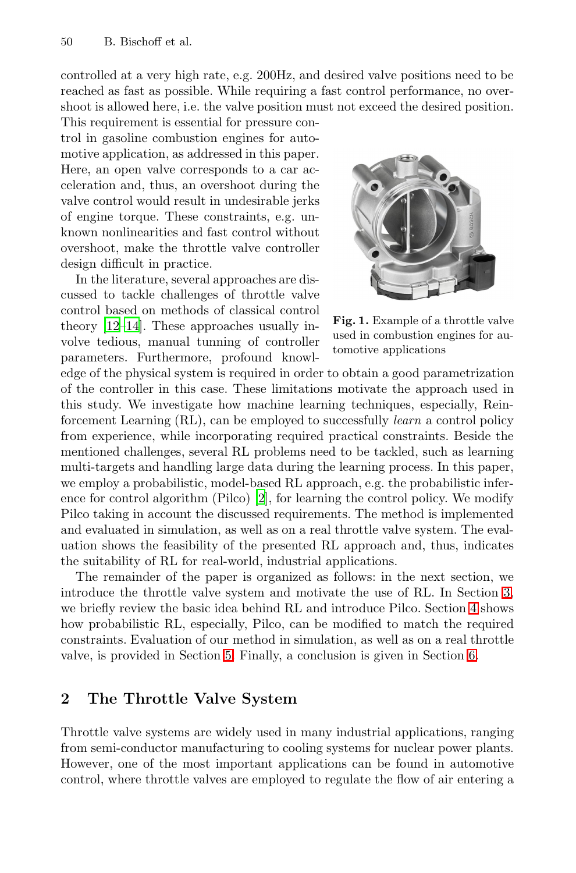controlled at a very high rate, e.g. 200Hz, and desired valve positions need to be reached as fast as possible. While requiring a fast control performance, no overshoot is allowed here, i.e. the valve position must not exceed the desired position.

This requirement is essential for pressure control in gasoline combustion engines for automotive application, as addressed in this paper. Here, an open valve corresponds to a car acceleration and, thus, an overshoot during the valve control would result in undesirable jerks of engine torque. These constraints, e.g. unknown nonlinearities and fast control without overshoot, make the throttle valve controller design difficult in practice.

In the literature, several approaches are discussed to tackle challenges of throttle valve control based on methods of classical control theory [12–14]. These approaches usually involve tedious, manual tunning of controller parameters. Furthermore, profound knowl-

<span id="page-1-0"></span>

**Fig. 1.** Example of a throttle valve used in combustion engines for automotive applications

edge of the phys[ica](#page-14-0)l system is required in order to obtain a good parametrization of the controller in this case. These limitations motivate the approach used in this study. We investigate how machine learning techniques, especially, Reinforcement Learning (RL), can be employed to successfully *learn* a control policy from experience, while incorporating required practical constraints. Beside the mentioned challenges, several RL problems need to be tackled, such as learning multi-targets and handling large data during the learning p[roc](#page-3-0)ess. In this paper, we employ a probabilistic, model-based RL approach, [e.g](#page-5-0). the probabilistic inference for control algorithm (Pilco) [2], for learning the control policy. We modify Pilco taking in account the discussed requirements. The method is implemented and evalua[te](#page-9-0)d in simulation, as well as on a real throt[tle](#page-14-1) valve system. The evaluation shows the feasibility of the presented RL approach and, thus, indicates the suitability of RL for real-world, industrial applications.

The remainder of the paper is organized as follows: in the next section, we introduce the throttle valve system and motivate the use of RL. In Section 3, we briefly review the basic idea behind RL and introduce Pilco. Section 4 shows how probabilistic RL, especially, Pilco, can be modified to match the required constraints. Evaluation of our method in simulation, as well as on a real throttle valve, is provided in Section 5. Finally, a conclusion is given in Section 6.

# **2 The Throttle Valve System**

Throttle valve systems are widely used in many industrial applications, ranging from semi-conductor manufacturing to cooling systems for nuclear power plants. However, one of the most important applications can be found in automotive control, where throttle valves are employed to regulate the flow of air entering a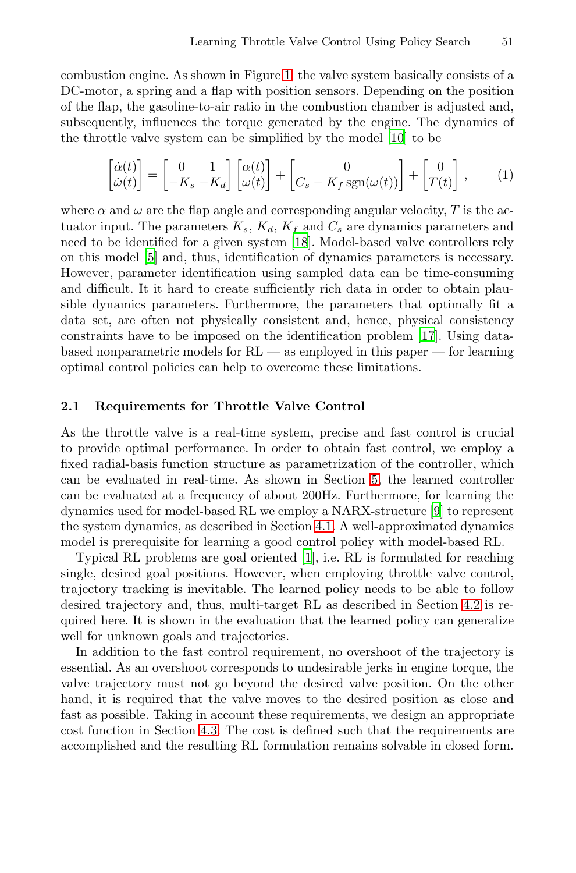<span id="page-2-0"></span>combustion engine. As shown in Figure 1, the valve system basically consists of a DC-motor, a spring and a flap with position sensors. Depending on the position of the flap, the gasoline-to-air ratio in the combustion chamber is adjusted and, subsequently, influenc[es t](#page-15-1)he torque generated by the engine. The dynamics of the throttle valve system can be simplified by the model [10] to be

$$
\begin{bmatrix} \dot{\alpha}(t) \\ \dot{\omega}(t) \end{bmatrix} = \begin{bmatrix} 0 & 1 \\ -K_s & -K_d \end{bmatrix} \begin{bmatrix} \alpha(t) \\ \omega(t) \end{bmatrix} + \begin{bmatrix} 0 \\ C_s - K_f \operatorname{sgn}(\omega(t)) \end{bmatrix} + \begin{bmatrix} 0 \\ T(t) \end{bmatrix}, \quad (1)
$$

where  $\alpha$  and  $\omega$  are the flap angle and corresp[ond](#page-15-2)ing angular velocity, T is the actuator input. The parameters  $K_s$ ,  $K_d$ ,  $K_f$  and  $C_s$  are dynamics parameters and need to be identified for a given system [18]. Model-based valve controllers rely on this model [5] and, thus, identification of dynamics parameters is necessary. However, parameter identification using sampled data can be time-consuming and difficult. It it hard to create sufficiently rich data in order to obtain plausible dynamics parameters. Furthermore, the parameters that optimally fit a data set, are often not physically consistent and, hence, physical consistency constraints have to be imposed on the identification problem [17]. Using databased nonparametric models for RL — as employed in this paper — for learning optimal control policies can help to [ov](#page-9-0)ercome these limitations.

### **2.1 Requirements for [Th](#page-5-1)rottle Valve Control**

As the throttle valve is [a](#page-14-2) real-time system, precise and fast control is crucial to provide optimal performance. In order to obtain fast control, we employ a fixed radial-basis function structure as parametrization of the controller, which can be evaluated in real-time. As shown in Sectio[n 5,](#page-6-0) the learned controller can be evaluated at a frequency of about 200Hz. Furthermore, for learning the dynamics used for model-based RL we employ a NARX-structure [9] to represent the system dynamics, as described in Section 4.1. A well-approximated dynamics model is prerequisite for learning a good control policy with model-based RL.

Typical RL problems are goal oriented [1], i.e. RL is formulated for reaching single, desired goal positions. However, when employing throttle valve control, trajectory tracking is inevitable. The learned policy needs to be able to follow desire[d tra](#page-7-0)jectory and, thus, multi-target RL as described in Section 4.2 is required here. It is shown in the evaluation that the learned policy can generalize well for unknown goals and trajectories.

In addition to the fast control requirement, no overshoot of the trajectory is essential. As an overshoot corresponds to undesirable jerks in engine torque, the valve trajectory must not go beyond the desired valve position. On the other hand, it is required that the valve moves to the desired position as close and fast as possible. Taking in account these requirements, we design an appropriate cost function in Section 4.3. The cost is defined such that the requirements are accomplished and the resulting RL formulation remains solvable in closed form.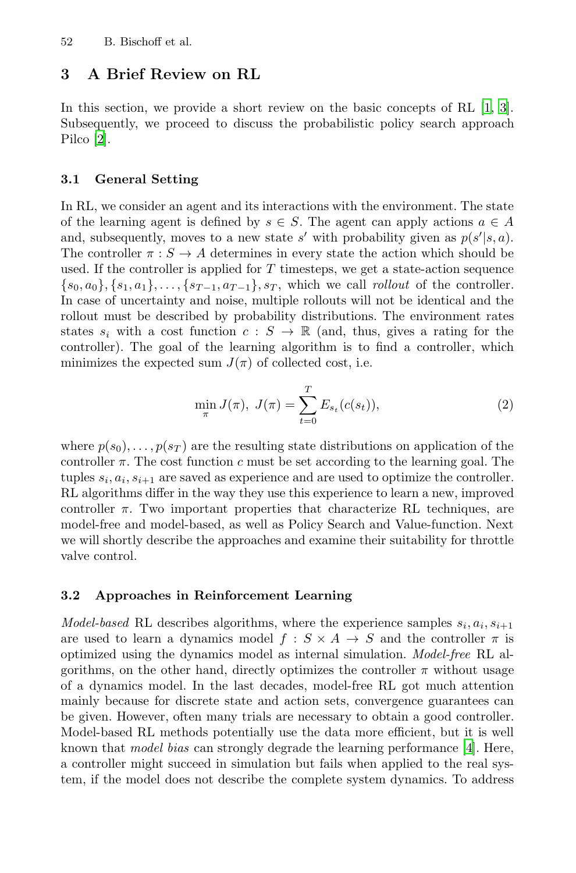## <span id="page-3-0"></span>**3 A Brief Review on RL**

In this section, we provide a short review on the basic concepts of RL [1, 3]. Subsequently, we proceed to discuss the probabilistic policy search approach Pilco [2].

### **3.1 General Setting**

In RL, we consider an agent and its interactions with the environment. The state of the learning agent is defined by  $s \in S$ . The agent can apply actions  $a \in A$ and, subsequently, moves to a new state s' with probability given as  $p(s'|s, a)$ . The controller  $\pi : S \to A$  determines in every state the action which should be used. If the controller is applied for  $T$  timesteps, we get a state-action sequence  ${s_0, a_0}, {s_1, a_1}, \ldots, {s_{T-1}, a_{T-1}}, s_T$ , which we call *rollout* of the controller. In case of uncertainty and noise, multiple rollouts will not be identical and the rollout must be described by probability distributions. The environment rates states  $s_i$  with a cost function  $c : S \to \mathbb{R}$  (and, thus, gives a rating for the controller). The goal of the learning algorithm is to find a controller, which minimizes the expected sum  $J(\pi)$  of collected cost, i.e.

$$
\min_{\pi} J(\pi), \ J(\pi) = \sum_{t=0}^{T} E_{s_t}(c(s_t)), \tag{2}
$$

where  $p(s_0),\ldots,p(s_T)$  are the resulting state distributions on application of the controller  $\pi$ . The cost function c must be set according to the learning goal. The tuples  $s_i, a_i, s_{i+1}$  are saved as experience and are used to optimize the controller. RL algorithms differ in the way they use this experience to learn a new, improved controller  $\pi$ . Two important properties that characterize RL techniques, are model-free and model-based, as well as Policy Search and Value-function. Next we will shortly describe the approaches and examine their suitability for throttle valve control.

### **3.2 Approaches in Reinforcement Learning**

*Model-based* RL describes algorithms, where the ex[per](#page-15-3)ience samples  $s_i, a_i, s_{i+1}$ are used to learn a dynamics model  $f : S \times A \rightarrow S$  and the controller  $\pi$  is optimized using the dynamics model as internal simulation. *Model-free* RL algorithms, on the other hand, directly optimizes the controller  $\pi$  without usage of a dynamics model. In the last decades, model-free RL got much attention mainly because for discrete state and action sets, convergence guarantees can be given. However, often many trials are necessary to obtain a good controller. Model-based RL methods potentially use the data more efficient, but it is well known that *model bias* can strongly degrade the learning performance [4]. Here, a controller might succeed in simulation but fails when applied to the real system, if the model does not describe the complete system dynamics. To address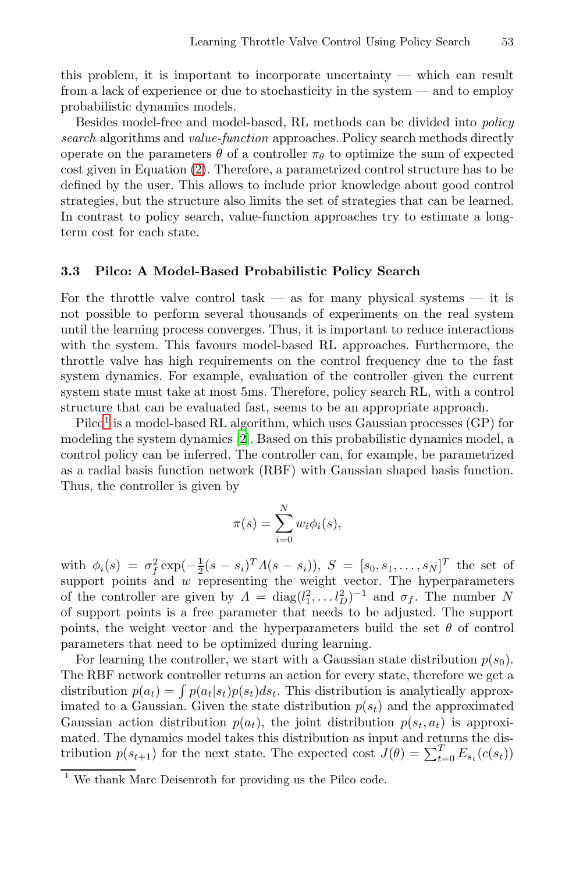this problem, it is important to incorporate uncertainty — which can result from a lack of experience or due to stochasticity in the system — and to employ probabilistic dynamics models.

Besides model-free and model-based, RL methods can be divided into *policy search* algorithms and *value-function* approaches. Policy search methods directly operate on the parameters  $\theta$  of a controller  $\pi_{\theta}$  to optimize the sum of expected cost given in Equation (2). Therefore, a parametrized control structure has to be defined by the user. This allows to include prior knowledge about good control strategies, but the structure also limits the set of strategies that can be learned. In contrast to policy search, value-function approaches try to estimate a longterm cost for each state.

### **3.3 Pilco: A Model-Based Probabilistic Policy Search**

For the throttle valve control task — as for many physical systems — it is not possible [to](#page-14-0) perform several thousands of experiments on the real system until the learning process converges. Thus, it is important to reduce interactions with the system. This favours model-based RL approaches. Furthermore, the throttle valve has high requirements on the control frequency due to the fast system dynamics. For example, evaluation of the controller given the current system state must take at most 5ms. Therefore, policy search RL, with a control structure that can be evaluated fast, seems to be an appropriate approach.

 $Pilco<sup>1</sup>$  is a model-based RL algorithm, which uses Gaussian processes (GP) for modeling the system dynamics [2]. Based on this probabilistic dynamics model, a control policy can be inferred. The controller can, for example, be parametrized as a radial basis function network (RBF) with Gaussian shaped basis function. Thus, the controller is given by

$$
\pi(s) = \sum_{i=0}^{N} w_i \phi_i(s),
$$

with  $\phi_i(s) = \sigma_f^2 \exp(-\frac{1}{2}(s - s_i)^T A(s - s_i)), S = [s_0, s_1, \dots, s_N]^T$  the set of support points and  $w$  representing the weight vector. The hyperparameters of the controller are given by  $\Lambda = \text{diag}(l_1^2, \ldots l_D^2)^{-1}$  and  $\sigma_f$ . The number N of support points is a free parameter that needs to be adjusted. The support points, the weight vector and the hyperparameters build the set  $\theta$  of control parameters that need to be optimized during learning.

For learning the controller, we start with a Gaussian state distribution  $p(s_0)$ . The RBF network controller returns an action for every state, therefore we get a distribution  $p(a_t) = \int p(a_t|s_t)p(s_t)ds_t$ . This distribution is analytically approximated to a Gaussian. Given the state distribution  $p(s_t)$  and the approximated Gaussian action distribution  $p(a_t)$ , the joint distribution  $p(s_t, a_t)$  is approximated. The dynamics model takes this distribution as input and returns the distribution  $p(s_{t+1})$  for the next state. The expected cost  $J(\theta) = \sum_{t=0}^{T} E_{s_t}(c(s_t))$ 

<sup>1</sup> We thank Marc Deisenroth for providing us the Pilco code.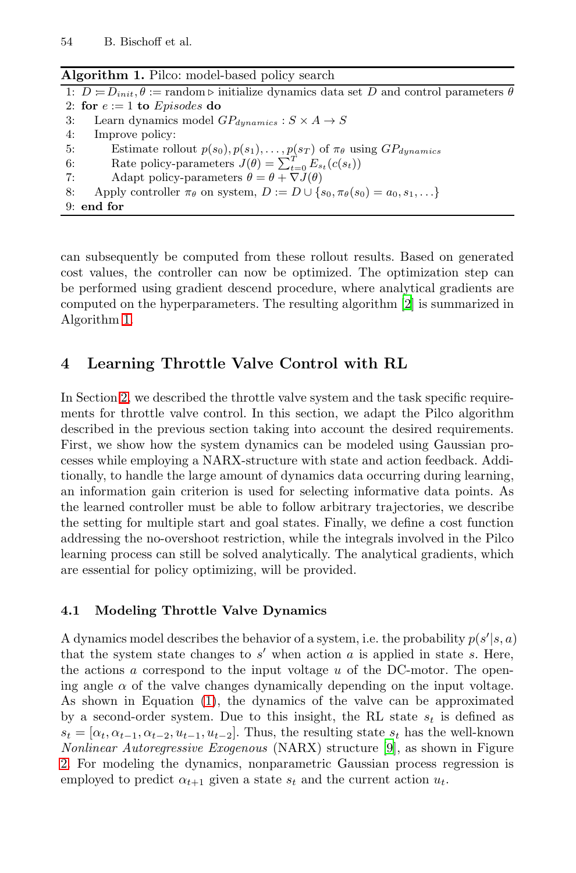<span id="page-5-2"></span>**Algorithm 1.** Pilco: model-based policy search

<span id="page-5-0"></span>1:  $D = D_{init}, \theta := \text{random} \triangleright$  initialize dynamics data set D and control parameters  $\theta$ 2: **for**  $e := 1$  **to** *Episodes* **do** 3: Learn dynamics model  $GP_{dynamics} : S \times A \rightarrow S$ 4: Improve policy: 5: Estimate rollout  $p(s_0), p(s_1), \ldots, p(s_T)$  of  $\pi_{\theta}$  using  $GP_{dynamics}$ 6: Rate policy-parameters  $J(\theta) = \sum_{t=0}^{T} E_{s_t}(c(s_t))$ 7: Adapt policy-parameters  $\theta = \theta + \nabla J(\theta)$  $\theta = \theta + \nabla J(\theta)$  $\theta = \theta + \nabla J(\theta)$ 8: Apply controller  $\pi_{\theta}$  on system,  $D := D \cup \{s_0, \pi_{\theta}(s_0) = a_0, s_1, \ldots\}$ 9: **end for**

can subsequently be computed from these rollout results. Based on generated cost values, the controller can now be optimized. The optimization step can be performed using gradient descend procedure, where analytical gradients are computed on the hyperparameters. The resulting algorithm [2] is summarized in Algorithm 1.

### <span id="page-5-1"></span>**4 Learning Throttle Valve Control with RL**

In Section 2, we described the throttle valve system and the task specific requirements for throttle valve control. In this section, we adapt the Pilco algorithm described in the previous section taking into account the desired requirements. First, we show how the system dynamics can be modeled using Gaussian processes while employing a NARX-structure with state and action feedback. Additionally, to handle the large amount of dynamics data occurring during learning, an information gain criterion is used for selecting informative data points. As the learned controller must be able to follow arbitrary trajectories, we describe the setting for multiple start and goal states. Finally, we define a cost function addressing the no-overshoot restriction, while the integrals involved in the Pilco learning process can still be solved analytically. The analytical gradients, which are ess[ent](#page-2-0)ial for policy optimizing, will be provided.

### **4.1 Modeling Throttle Valve Dynamics**

A dynamics model describes the behavi[or](#page-15-4) of a system, i.e. the probability  $p(s'|s, a)$ that the system state changes to  $s'$  when action a is applied in state s. Here, the actions a correspond to the input voltage  $u$  of the DC-motor. The opening angle  $\alpha$  of the valve changes dynamically depending on the input voltage. As shown in Equation (1), the dynamics of the valve can be approximated by a second-order system. Due to this insight, the RL state  $s_t$  is defined as  $s_t = [\alpha_t, \alpha_{t-1}, \alpha_{t-2}, u_{t-1}, u_{t-2}]$ . Thus, the resulting state  $s_t$  has the well-known *Nonlinear Autoregressive Exogenous* (NARX) structure [9], as shown in Figure 2. For modeling the dynamics, nonparametric Gaussian process regression is employed to predict  $\alpha_{t+1}$  given a state  $s_t$  and the current action  $u_t$ .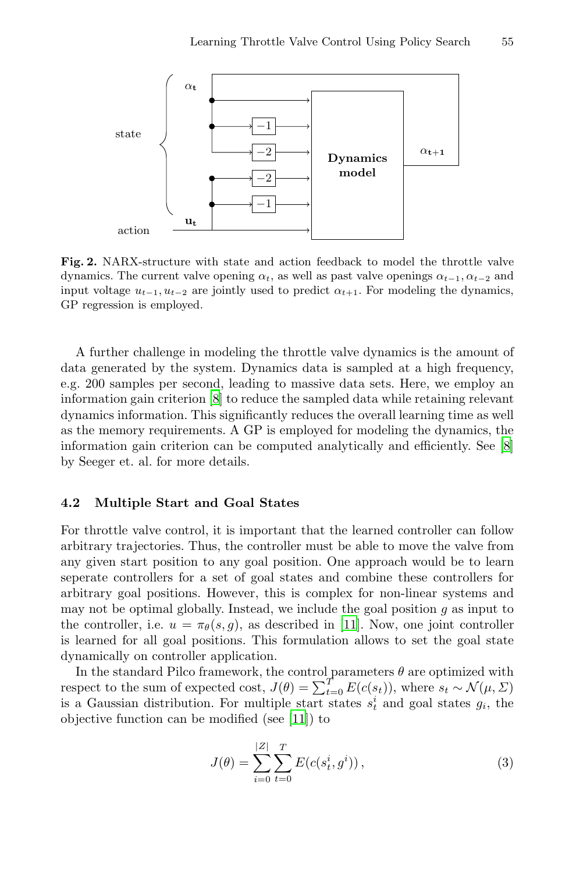

<span id="page-6-0"></span>**Fig. 2.** NARX-structure with state and action feedback to model the throttle valve dynamic[s.](#page-15-5) The current valve opening  $\alpha_t$ , as well as past valve openings  $\alpha_{t-1}, \alpha_{t-2}$  and input voltage  $u_{t-1}, u_{t-2}$  are jointly used to predict  $\alpha_{t+1}$ . For modeling the dynamics, GP regression is employed.

A further challenge in modeling the throttle valve dynamics is the amount of data generated by the system. Dynamics data is sampled at a high frequency, e.g. 200 samples per second, leading to massive data sets. Here, we employ an information gain criterion [8] to reduce the sampled data while retaining relevant dynamics information. This significantly reduces the overall learning time as well as the memory requirements. A GP is employed for modeling the dynamics, the information gain criterion can be computed analytically and efficiently. See [8] by Seeger et. al. for more details.

### **4.2 Multiple Start and G[oal](#page-15-6) States**

For throttle valve control, it is important that the learned controller can follow arbitrary trajectories. Thus, the controller must be able to move the valve from any given start position to any goal position. One approach would be to learn seperate controllers for a set of goal states and combine these controllers for arbitrary goal positio[ns.](#page-15-6) However, this is complex for non-linear systems and may not be optimal globally. Instead, we include the goal position  $g$  as input to the controller, i.e.  $u = \pi_{\theta}(s, g)$ , as described in [11]. Now, one joint controller is learned for all goal positions. This formulation allows to set the goal state dynamically on controller application.

In the standard Pilco framework, the control parameters  $\theta$  are optimized with respect to the sum of expected cost,  $J(\theta) = \sum_{t=0}^{T} E(c(s_t))$ , where  $s_t \sim \mathcal{N}(\mu, \Sigma)$ is a Gaussian distribution. For multiple start states  $s_t^i$  and goal states  $g_i$ , the objective function can be modified (see [11]) to

$$
J(\theta) = \sum_{i=0}^{|Z|} \sum_{t=0}^{T} E(c(s_t^i, g^i)),
$$
\n(3)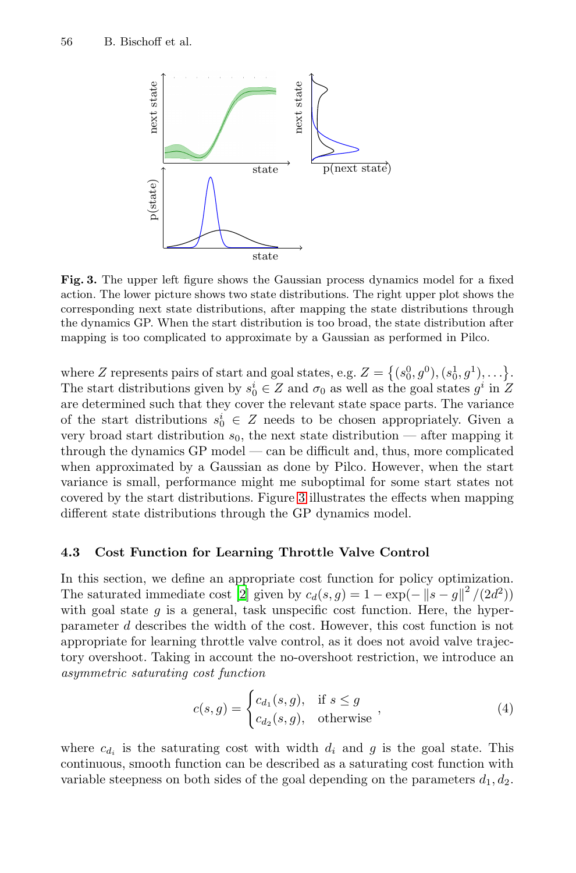<span id="page-7-1"></span>

<span id="page-7-0"></span>**Fig. 3.** The upper left figure shows the Gaussian process dynamics model for a fixed action. The lower picture shows two state distributions. The right upper plot shows the corresponding next state distributions, after mapping the state distributions through the dynamics GP. When the start distribution is too broad, the state distribution after mapping is too complicated to approximate by a Gaussian as performed in Pilco.

where Z represents pair[s o](#page-7-1)f start and goal states, e.g.  $Z = \{(s_0^0, g^0), (s_0^1, g^1), \ldots\}$ . The start distributions given by  $s_0^i \in Z$  and  $\sigma_0$  as well as the goal states  $g^i$  in  $Z$ are determined such that they cover the relevant state space parts. The variance of the start distributions  $s_0^i \in Z$  needs to be chosen appropriately. Given a very broad start distribution  $s_0$ , the next state distribution — after mapping it through the dynamics GP model — can be difficult and, thus, more complicated when approx[im](#page-14-0)ated by a Gaussian as done by Pilco. However, when the start variance is small, performance might me suboptimal for some start states not covered by the start distributions. Figure 3 illustrates the effects when mapping different state distributions through the GP dynamics model.

#### **4.3 Cost Function for Learning Throttle Valve Control**

In this section, we define an appropriate cost function for policy optimization. The saturated immediate cost [2] given by  $c_d(s, g) = 1 - \exp(-\frac{\|s - g\|^2}{2d^2})$ with goal state  $g$  is a general, task unspecific cost function. Here, the hyperparameter d describes the width of the cost. However, this cost function is not appropriate for learning throttle valve control, as it does not avoid valve trajectory overshoot. Taking in account the no-overshoot restriction, we introduce an *asymmetric saturating cost function*

<span id="page-7-2"></span>
$$
c(s,g) = \begin{cases} c_{d_1}(s,g), & \text{if } s \le g \\ c_{d_2}(s,g), & \text{otherwise} \end{cases}
$$
 (4)

where  $c_{d_i}$  is the saturating cost with width  $d_i$  and g is the goal state. This continuous, smooth function can be described as a saturating cost function with variable steepness on both sides of the goal depending on the parameters  $d_1, d_2$ .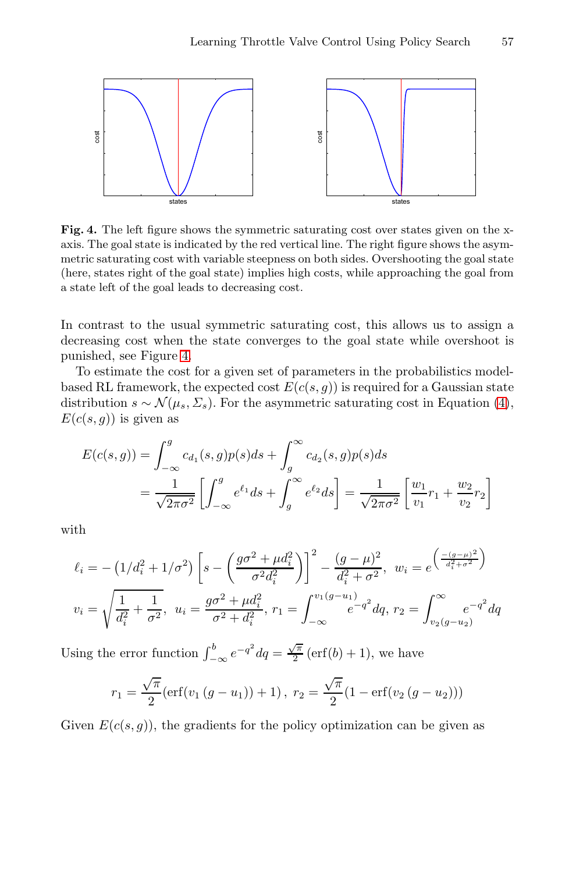<span id="page-8-0"></span>

**Fi[g. 4](#page-8-0).** The left figure shows the symmetric saturating cost over states given on the xaxis. The goal state is indicated by the red vertical line. The right figure shows the asymmetric saturating cost with variable steepness on both sides. Overshooting the goal state (here, states right of the goal state) implies high costs, while ap[pro](#page-7-2)aching the goal from a state left of the goal leads to decreasing cost.

In contrast to the usual symmetric saturating cost, this allows us to assign a decreasing cost when the state converges to the goal state while overshoot is punished, see Figure 4.

To estimate the cost for a given set of parameters in the probabilistics modelbased RL framework, the expected cost  $E(c(s, g))$  is required for a Gaussian state distribution  $s \sim \mathcal{N}(\mu_s, \Sigma_s)$ . For the asymmetric saturating cost in Equation (4),  $E(c(s, g))$  is given as

$$
E(c(s,g)) = \int_{-\infty}^{g} c_{d_1}(s,g)p(s)ds + \int_{g}^{\infty} c_{d_2}(s,g)p(s)ds
$$
  
= 
$$
\frac{1}{\sqrt{2\pi\sigma^2}} \left[ \int_{-\infty}^{g} e^{\ell_1} ds + \int_{g}^{\infty} e^{\ell_2} ds \right] = \frac{1}{\sqrt{2\pi\sigma^2}} \left[ \frac{w_1}{v_1} r_1 + \frac{w_2}{v_2} r_2 \right]
$$

with

$$
\ell_i = -\left(1/d_i^2 + 1/\sigma^2\right) \left[s - \left(\frac{g\sigma^2 + \mu d_i^2}{\sigma^2 d_i^2}\right)\right]^2 - \frac{(g - \mu)^2}{d_i^2 + \sigma^2}, \ w_i = e^{\left(\frac{-(g - \mu)^2}{d_i^2 + \sigma^2}\right)}
$$

$$
v_i = \sqrt{\frac{1}{d_i^2} + \frac{1}{\sigma^2}}, \ u_i = \frac{g\sigma^2 + \mu d_i^2}{\sigma^2 + d_i^2}, \ r_1 = \int_{-\infty}^{v_1(g - u_1)} e^{-q^2} dq, \ r_2 = \int_{v_2(g - u_2)}^{\infty} e^{-q^2} dq
$$

Using the error function  $\int_{-\infty}^{b} e^{-q^2} dq = \frac{\sqrt{\pi}}{2} (\text{erf}(b) + 1)$ , we have

$$
r_1 = \frac{\sqrt{\pi}}{2} (\text{erf}(v_1 (g - u_1)) + 1), \ r_2 = \frac{\sqrt{\pi}}{2} (1 - \text{erf}(v_2 (g - u_2)))
$$

Given  $E(c(s, g))$ , the gradients for the policy optimization can be given as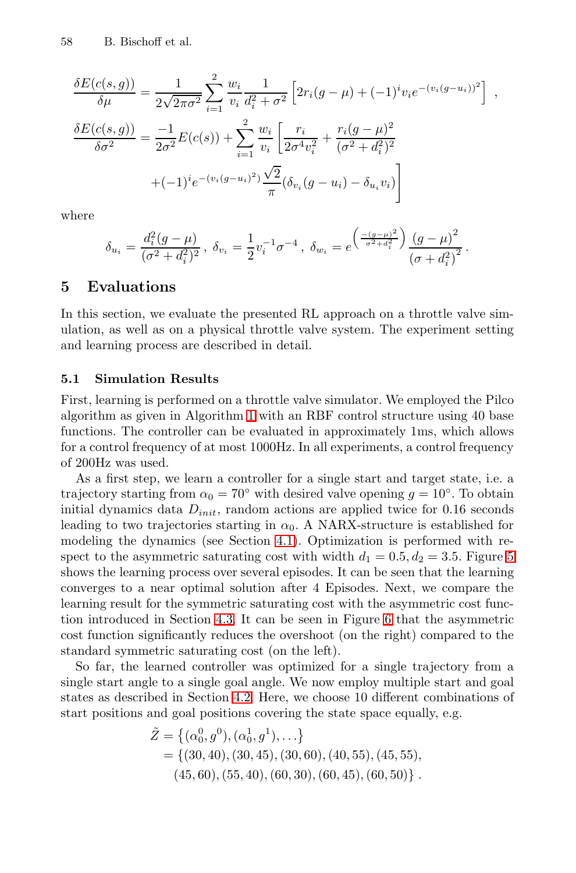<span id="page-9-0"></span>
$$
\frac{\delta E(c(s,g))}{\delta \mu} = \frac{1}{2\sqrt{2\pi\sigma^2}} \sum_{i=1}^2 \frac{w_i}{v_i} \frac{1}{d_i^2 + \sigma^2} \left[ 2r_i(g - \mu) + (-1)^i v_i e^{-(v_i(g - u_i))^2} \right],
$$
  

$$
\frac{\delta E(c(s,g))}{\delta \sigma^2} = \frac{-1}{2\sigma^2} E(c(s)) + \sum_{i=1}^2 \frac{w_i}{v_i} \left[ \frac{r_i}{2\sigma^4 v_i^2} + \frac{r_i(g - \mu)^2}{(\sigma^2 + d_i^2)^2} + (-1)^i e^{-(v_i(g - u_i)^2)} \frac{\sqrt{2}}{\pi} (\delta_{v_i}(g - u_i) - \delta_{u_i} v_i) \right]
$$

where

$$
\delta_{u_i} = \frac{d_i^2 (g - \mu)}{(\sigma^2 + d_i^2)^2}, \ \delta_{v_i} = \frac{1}{2} v_i^{-1} \sigma^{-4} , \ \delta_{w_i} = e^{\left(\frac{-(g - \mu)^2}{\sigma^2 + d_i^2}\right)} \frac{(g - \mu)^2}{(\sigma + d_i^2)^2}.
$$

### **5 Evalua[tio](#page-5-2)ns**

In this section, we evaluate the presented RL approach on a throttle valve simulation, as well as on a physical throttle valve system. The experiment setting and learning process are described in detail.

### **5.1 Simulation Results**

First, learning is performed on a throttle valve simulator. We employed the Pilco algorithm as given [in A](#page-5-1)lgorithm 1 with an RBF control structure using 40 base functions. The controller can be evaluated in approximatel[y 1](#page-10-0)ms, which allows for a control frequency of at most 1000Hz. In all experiments, a control frequency of 200Hz was used.

As a first step, we learn a controller for a single start and target state, i.e. a trajector[y sta](#page-7-0)rting from  $\alpha_0 = 70^\circ$  with [de](#page-10-1)sired valve opening  $g = 10^\circ$ . To obtain initial dynamics data  $D_{init}$ , random actions are applied twice for 0.16 seconds leading to two trajectories starting in  $\alpha_0$ . A NARX-structure is established for modeling the dynamics (see Section 4.1). Optimization is performed with respect to the asymmetric saturating cost with width  $d_1 = 0.5, d_2 = 3.5$ . Figure 5 shows the le[arni](#page-6-0)ng process over several episodes. It can be seen that the learning converges to a near optimal solution after 4 Episodes. Next, we compare the learning result for the symmetric saturating cost with the asymmetric cost function introduced in Section 4.3. It can be seen in Figure 6 that the asymmetric cost function significantly reduces the overshoot (on the right) compared to the standard symmetric saturating cost (on the left).

So far, the learned controller was optimized for a single trajectory from a single start angle to a single goal angle. We now employ multiple start and goal states as described in Section 4.2. Here, we choose 10 different combinations of start positions and goal positions covering the state space equally, e.g.

$$
\tilde{Z} = \{ (\alpha_0^0, g^0), (\alpha_0^1, g^1), \ldots \}
$$
  
= \{ (30, 40), (30, 45), (30, 60), (40, 55), (45, 55),  
(45, 60), (55, 40), (60, 30), (60, 45), (60, 50) \}.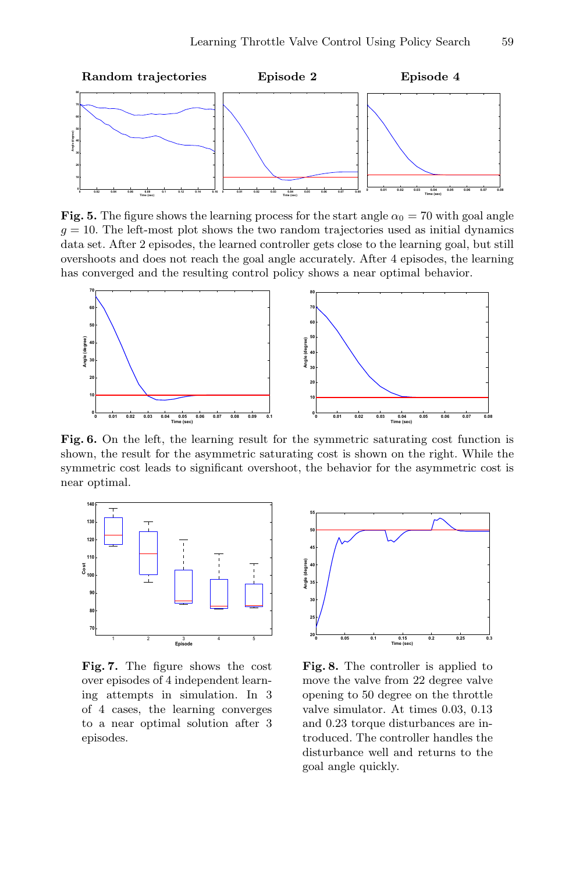<span id="page-10-0"></span>

**Fig. 5.** The figure shows the learning process for the start angle  $\alpha_0 = 70$  with goal angle  $g = 10$ . The left-most plot shows the two random trajectories used as initial dynamics data set. After 2 episodes, the learned controller gets close to the learning goal, but still overshoots and does not reach the goal angle accurately. After 4 episodes, the learning has converged and the resulting control policy shows a near optimal behavior.

<span id="page-10-1"></span>

**Fig. 6.** On the left, the learning result for the symmetric saturating cost function is shown, the result for the asymmetric saturating cost is shown on the right. While the symmetric cost leads to significant overshoot, the behavior for the asymmetric cost is near optimal.



**Fig. 7.** The figure shows the cost over episodes of 4 independent learning attempts in simulation. In 3 of 4 cases, the learning converges to a near optimal solution after 3 episodes.

<span id="page-10-2"></span>

**Fig. 8.** The controller is applied to move the valve from 22 degree valve opening to 50 degree on the throttle valve simulator. At times 0.03, 0.13 and 0.23 torque disturbances are introduced. The controller handles the disturbance well and returns to the goal angle quickly.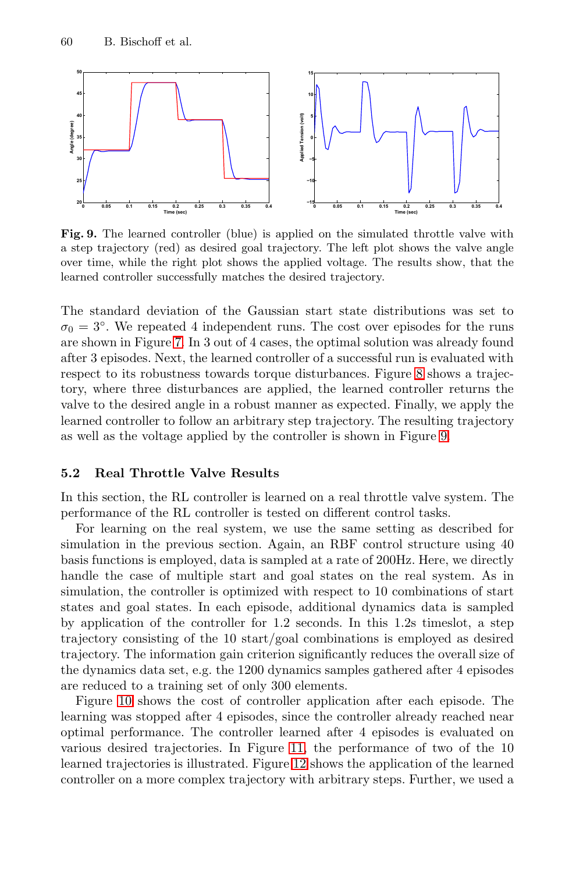<span id="page-11-0"></span>

Fig. 9. The learned controller (blue) is applied on the simulated throttle valve with a step trajectory (red) as desired goal trajecto[ry.](#page-10-2) The left plot shows the valve angle over time, while the right plot shows the applied voltage. The results show, that the learned controller successfully matches the desired trajectory.

The standard deviation of the Gaussian start [st](#page-11-0)ate distributions was set to  $\sigma_0 = 3^\circ$ . We repeated 4 independent runs. The cost over episodes for the runs are shown in Figure 7. In 3 out of 4 cases, the optimal solution was already found after 3 episodes. Next, the learned controller of a successful run is evaluated with respect to its robustness towards torque disturbances. Figure 8 shows a trajectory, where three disturbances are applied, the learned controller returns the valve to the desired angle in a robust manner as expected. Finally, we apply the learned controller to follow an arbitrary step trajectory. The resulting trajectory as well as the voltage applied by the controller is shown in Figure 9.

### **5.2 Real Throttle Valve Results**

In this section, the RL controller is learned on a real throttle valve system. The performance of the RL controller is tested on different control tasks.

For learning on the real system, we use the same setting as described for simulation in the previous section. Again, an RBF control structure using 40 basis functions is employed, data is sampled at a rate of 200Hz. Here, we directly handle the case of multiple start and goal states on the real system. As in simulation, the controller is optimized with respect to 10 combinations of start states and goal states. In each episode, additional dynamics data is sampled by application of the [co](#page-12-0)ntroller for 1.2 seconds. In this 1.2s timeslot, a step trajectory consisting [of th](#page-12-1)e 10 start/goal combinations is employed as desired trajectory. The information gain criterion significantly reduces the overall size of the dynamics data set, e.g. the 1200 dynamics samples gathered after 4 episodes are reduced to a training set of only 300 elements.

Figure 10 shows the cost of controller application after each episode. The learning was stopped after 4 episodes, since the controller already reached near optimal performance. The controller learned after 4 episodes is evaluated on various desired trajectories. In Figure 11, the performance of two of the 10 learned trajectories is illustrated. Figure 12 shows the application of the learned controller on a more complex trajectory with arbitrary steps. Further, we used a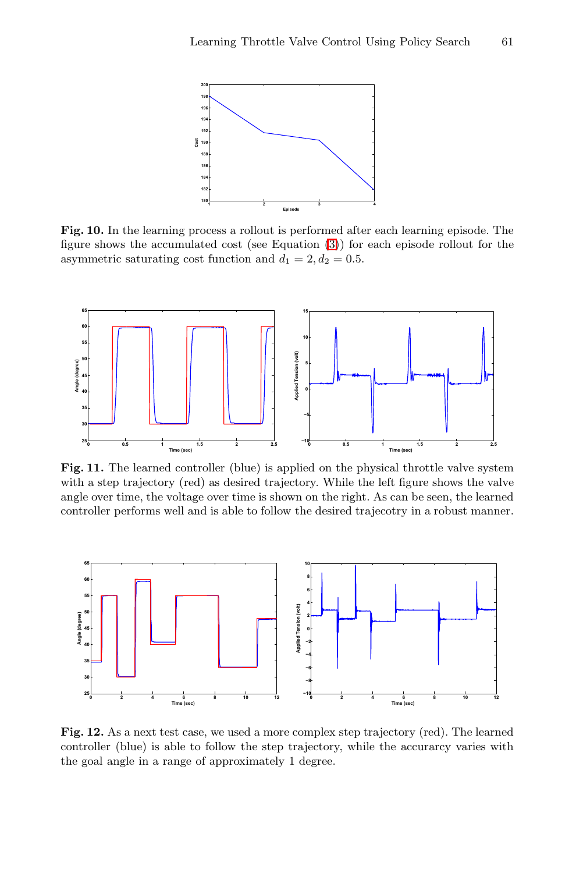

<span id="page-12-0"></span>**Fig. 10.** In the learning process a rollout is performed after each learning episode. The figure shows the accumulated cost (see Equation (3)) for each episode rollout for the asymmetric saturating cost function and  $d_1 = 2, d_2 = 0.5$ .



<span id="page-12-1"></span>Fig. 11. The learned controller (blue) is applied on the physical throttle valve system with a step trajectory (red) as desired trajectory. While the left figure shows the valve angle over time, the voltage over time is shown on the right. As can be seen, the learned controller performs well and is able to follow the desired trajecotry in a robust manner.



**Fig. 12.** As a next test case, we used a more complex step trajectory (red). The learned controller (blue) is able to follow the step trajectory, while the accurarcy varies with the goal angle in a range of approximately 1 degree.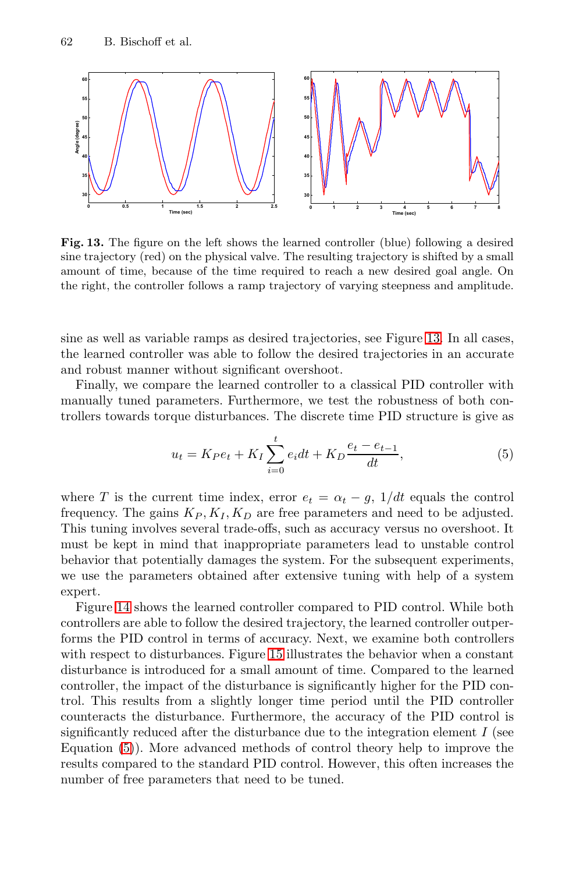

**Fig. 13.** The figure on the left shows the learned controller (blue) following a desired sine trajectory (red) on the physical valve. The resulting trajectory is shifted by a small amount of time, because of the time required to reach a new desired goal angle. On the right, the controller follows a ramp trajectory of varying steepness and amplitude.

sine as well as variable ramps as desired trajectories, see Figure 13. In all cases, the learned controller was able to follow the desired trajectories in an accurate and robust manner without significant overshoot.

Finally, we compare the learned controller to a classical PID controller with manually tuned parameters. Furthermore, we test the robustness of both controllers towards torque disturbances. The discrete time PID structure is give as

$$
u_t = K_P e_t + K_I \sum_{i=0}^{t} e_i dt + K_D \frac{e_t - e_{t-1}}{dt},
$$
\n(5)

where T is the current time index, error  $e_t = \alpha_t - g$ ,  $1/dt$  equals the control frequency. The gains  $K_P, K_I, K_D$  are free parameters and need to be adjusted. This tuning involv[es s](#page-14-3)everal trade-offs, such as accuracy versus no overshoot. It must be kept in mind that inappropriate parameters lead to unstable control behavior that potentially damages the system. For the subsequent experiments, we use the parameters obtained after extensive tuning with help of a system expert.

Figure 14 shows the learned controller compared to PID control. While both controllers are able to follow the desired trajectory, the learned controller outperforms the PID control in terms of accuracy. Next, we examine both controllers with respect to disturbances. Figure 15 illustrates the behavior when a constant disturbance is introduced for a small amount of time. Compared to the learned controller, the impact of the disturbance is significantly higher for the PID control. This results from a slightly longer time period until the PID controller counteracts the disturbance. Furthermore, the accuracy of the PID control is significantly reduced after the disturbance due to the integration element  $I$  (see Equation (5)). More advanced methods of control theory help to improve the results compared to the standard PID control. However, this often increases the number of free parameters that need to be tuned.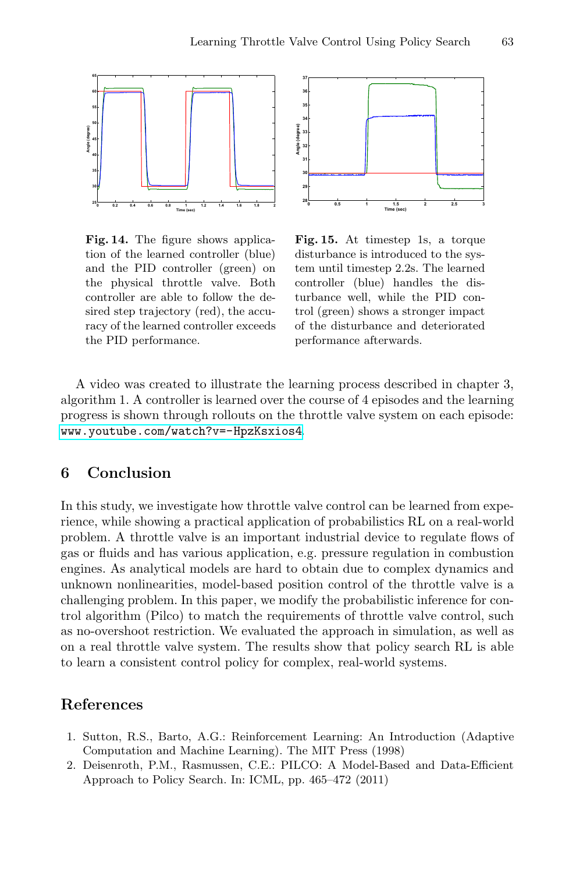

<span id="page-14-1"></span>Fig. 14. The figure shows application of the learned controller (blue) and the PID controller (green) on the physical throttle valve. Both controller are able to follow the de[sired step trajectory \(r](www.youtube.com/watch?v=-HpzKsxios4)ed), the accuracy of the learned controller exceeds the PID performance.

<span id="page-14-3"></span>

**Fig. 15.** At timestep 1s, a torque disturbance is introduced to the system until timestep 2.2s. The learned controller (blue) handles the disturbance well, while the PID control (green) shows a stronger impact of the disturbance and deteriorated performance afterwards.

A video was created to illustrate the learning process described in chapter 3, algorithm 1. A controller is learned over the course of 4 episodes and the learning progress is shown through rollouts on the throttle valve system on each episode: www.youtube.com/watch?v=-HpzKsxios4.

### **6 Conclusion**

<span id="page-14-2"></span><span id="page-14-0"></span>In this study, we investigate how throttle valve control can be learned from experience, while showing a practical application of probabilistics RL on a real-world problem. A throttle valve is an important industrial device to regulate flows of gas or fluids and has various application, e.g. pressure regulation in combustion engines. As analytical models are hard to obtain due to complex dynamics and unknown nonlinearities, model-based position control of the throttle valve is a challenging problem. In this paper, we modify the probabilistic inference for control algorithm (Pilco) to match the requirements of throttle valve control, such as no-overshoot restriction. We evaluated the approach in simulation, as well as on a real throttle valve system. The results show that policy search RL is able to learn a consistent control policy for complex, real-world systems.

# **References**

- 1. Sutton, R.S., Barto, A.G.: Reinforcement Learning: An Introduction (Adaptive Computation and Machine Learning). The MIT Press (1998)
- 2. Deisenroth, P.M., Rasmussen, C.E.: PILCO: A Model-Based and Data-Efficient Approach to Policy Search. In: ICML, pp. 465–472 (2011)